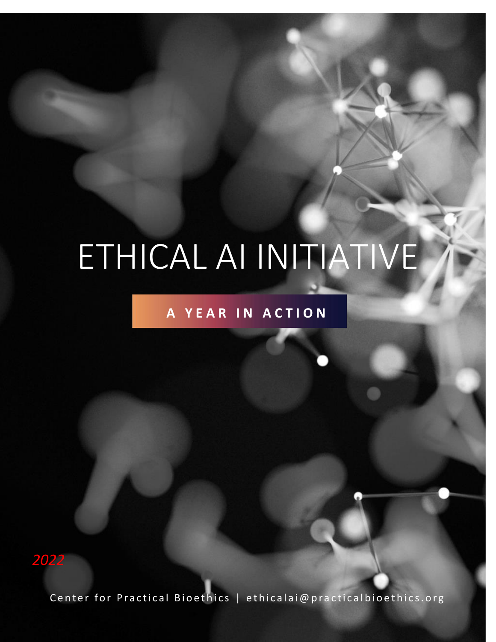# ETHICAL AI INITIATIVE

# **A Y E A R I N A C T I O N**

*2022*

Center for Practical Bioethics | ethicalai@practicalbioethics.org

Ethical AI 2022 | 1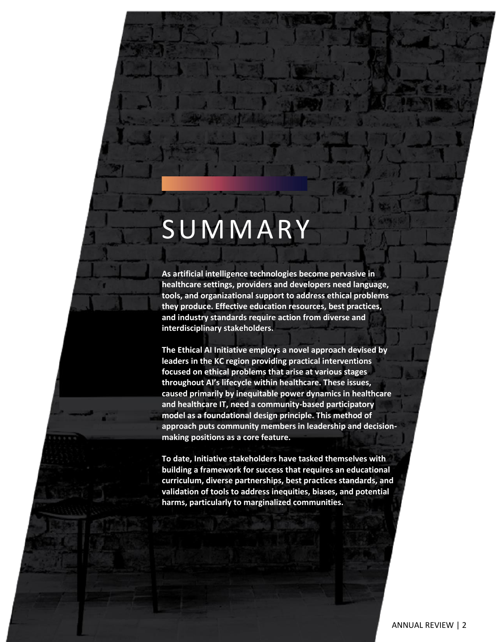# SUMMARY

**As artificial intelligence technologies become pervasive in healthcare settings, providers and developers need language, tools, and organizational support to address ethical problems they produce. Effective education resources, best practices, and industry standards require action from diverse and interdisciplinary stakeholders.**

**The Ethical AI Initiative employs a novel approach devised by leaders in the KC region providing practical interventions focused on ethical problems that arise at various stages throughout AI's lifecycle within healthcare. These issues, caused primarily by inequitable power dynamics in healthcare and healthcare IT, need a community-based participatory model as a foundational design principle. This method of approach puts community members in leadership and decisionmaking positions as a core feature.** 

**To date, Initiative stakeholders have tasked themselves with building a framework for success that requires an educational curriculum, diverse partnerships, best practices standards, and validation of tools to address inequities, biases, and potential harms, particularly to marginalized communities.**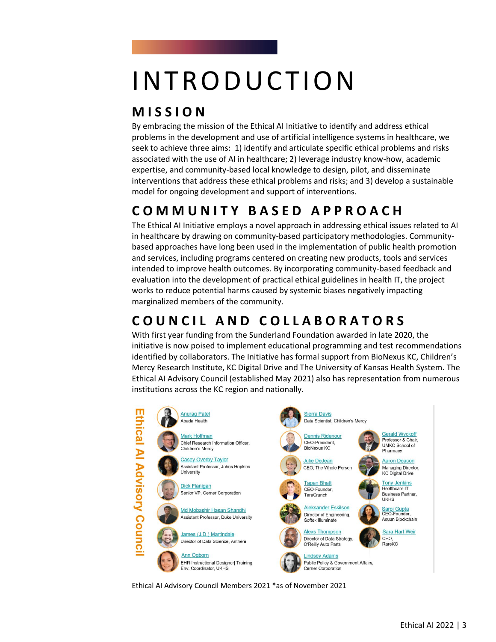# **INTRODUCTION**

# **M I S S I O N**

By embracing the mission of the Ethical AI Initiative to identify and address ethical problems in the development and use of artificial intelligence systems in healthcare, we seek to achieve three aims: 1) identify and articulate specific ethical problems and risks associated with the use of AI in healthcare; 2) leverage industry know-how, academic expertise, and community-based local knowledge to design, pilot, and disseminate interventions that address these ethical problems and risks; and 3) develop a sustainable model for ongoing development and support of interventions.

# **C O M M U N I T Y B A S E D A P P R O A C H**

The Ethical AI Initiative employs a novel approach in addressing ethical issues related to AI in healthcare by drawing on community-based participatory methodologies. Communitybased approaches have long been used in the implementation of public health promotion and services, including programs centered on creating new products, tools and services intended to improve health outcomes. By incorporating community-based feedback and evaluation into the development of practical ethical guidelines in health IT, the project works to reduce potential harms caused by systemic biases negatively impacting marginalized members of the community.

# **C O U N C I L A N D C O L L A B O R A T O R S**

With first year funding from the Sunderland Foundation awarded in late 2020, the initiative is now poised to implement educational programming and test recommendations identified by collaborators. The Initiative has formal support from BioNexus KC, Children's Mercy Research Institute, KC Digital Drive and The University of Kansas Health System. The Ethical AI Advisory Council (established May 2021) also has representation from numerous institutions across the KC region and nationally.



Ethical AI Advisory Council Members 2021 \*as of November 2021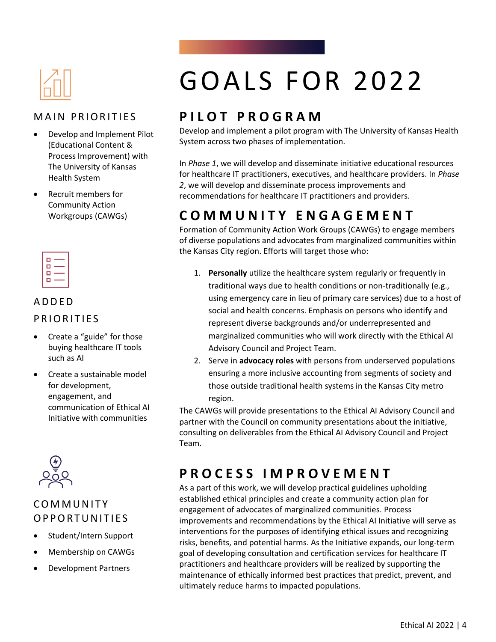

#### **MAIN PRIORITIES**

- Develop and Implement Pilot (Educational Content & Process Improvement) with The University of Kansas Health System
- Recruit members for Community Action Workgroups (CAWGs)



#### A D D E D

#### PRIORITIES

- Create a "guide" for those buying healthcare IT tools such as AI
- Create a sustainable model for development, engagement, and communication of Ethical AI Initiative with communities



#### **COMMUNITY** O P P O R T U N I T I E S

- Student/Intern Support
- Membership on CAWGs
- Development Partners

# GOALS FOR 2022

### **P I L O T P R O G R A M**

Develop and implement a pilot program with The University of Kansas Health System across two phases of implementation.

In *Phase 1*, we will develop and disseminate initiative educational resources for healthcare IT practitioners, executives, and healthcare providers. In *Phase 2*, we will develop and disseminate process improvements and recommendations for healthcare IT practitioners and providers.

### **C O M M U N I T Y E N G A G E M E N T**

Formation of Community Action Work Groups (CAWGs) to engage members of diverse populations and advocates from marginalized communities within the Kansas City region. Efforts will target those who:

- 1. **Personally** utilize the healthcare system regularly or frequently in traditional ways due to health conditions or non-traditionally (e.g., using emergency care in lieu of primary care services) due to a host of social and health concerns. Emphasis on persons who identify and represent diverse backgrounds and/or underrepresented and marginalized communities who will work directly with the Ethical AI Advisory Council and Project Team.
- 2. Serve in **advocacy roles** with persons from underserved populations ensuring a more inclusive accounting from segments of society and those outside traditional health systems in the Kansas City metro region.

The CAWGs will provide presentations to the Ethical AI Advisory Council and partner with the Council on community presentations about the initiative, consulting on deliverables from the Ethical AI Advisory Council and Project Team.

### **P R O C E S S I M P R O V E M E N T**

As a part of this work, we will develop practical guidelines upholding established ethical principles and create a community action plan for engagement of advocates of marginalized communities. Process improvements and recommendations by the Ethical AI Initiative will serve as interventions for the purposes of identifying ethical issues and recognizing risks, benefits, and potential harms. As the Initiative expands, our long-term goal of developing consultation and certification services for healthcare IT practitioners and healthcare providers will be realized by supporting the maintenance of ethically informed best practices that predict, prevent, and ultimately reduce harms to impacted populations.